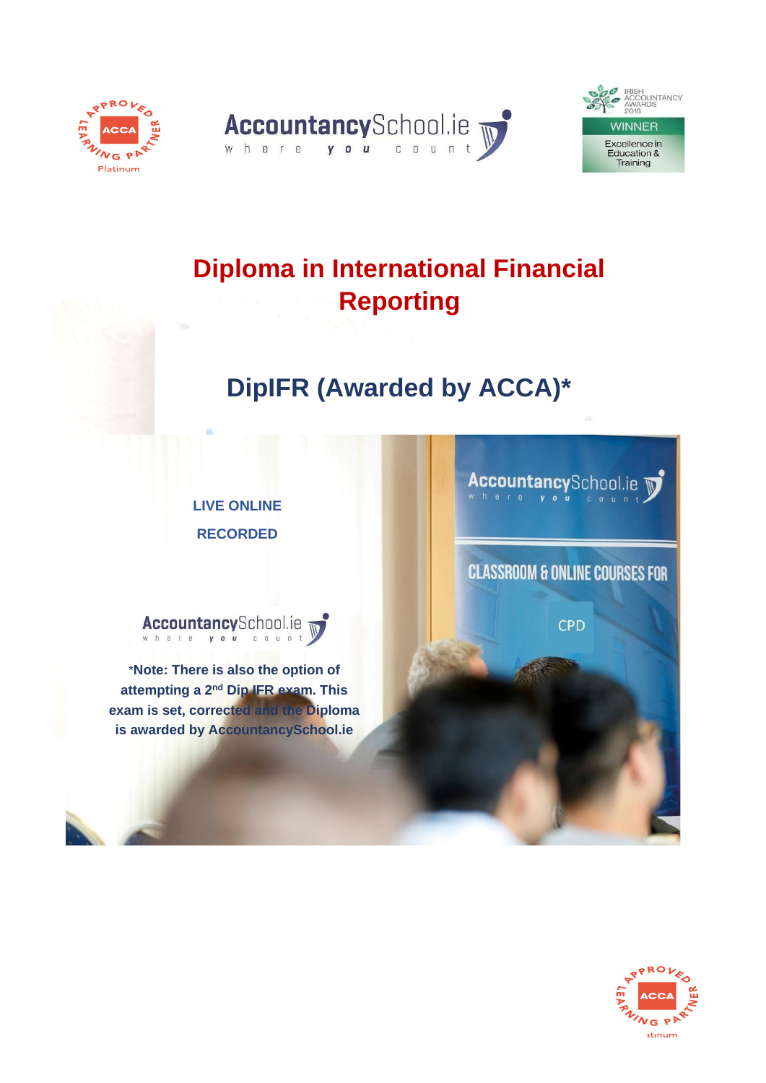





# **Diploma in International Financial Reporting**

# **DipIFR (Awarded by ACCA)\***

**LIVE ONLINE RECORDED**



\***Note: There is also the option of attempting a 2nd Dip IFR exam. This exam is set, corrected and the Diploma is awarded by AccountancySchool.ie**

AccountancySchool.ie

**CLASSROOM & ONLINE COURSES FOR** 

**CPD** 

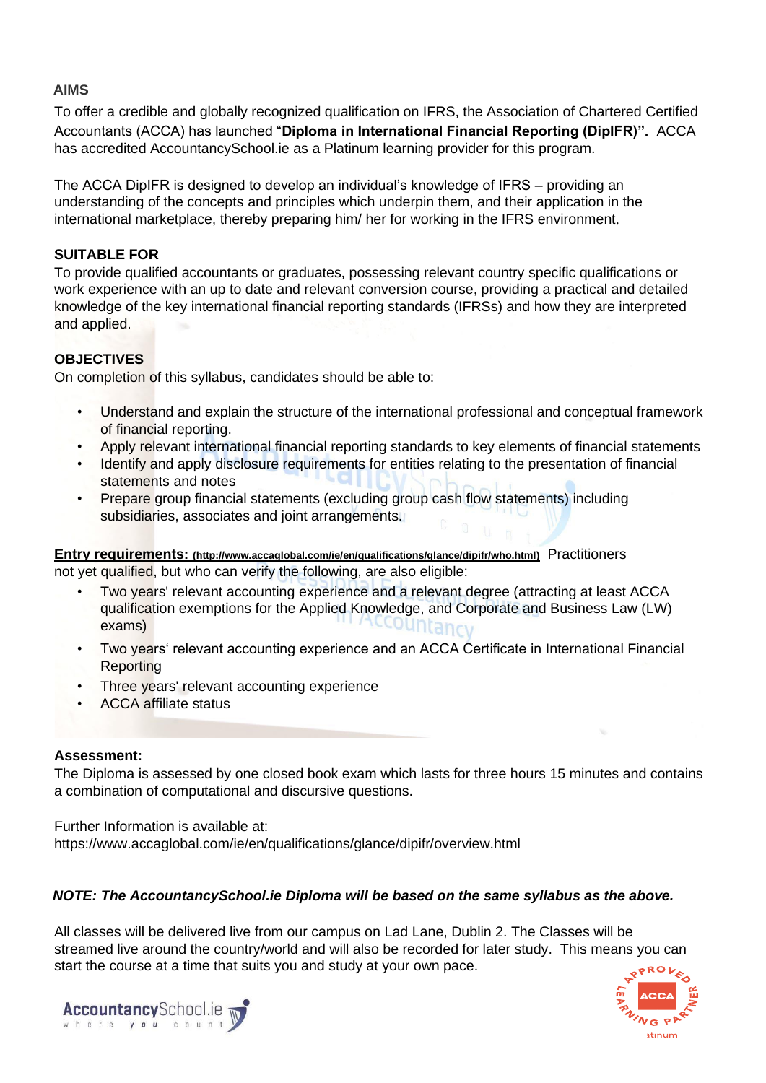# **AIMS**

To offer a credible and globally recognized qualification on IFRS, the Association of Chartered Certified Accountants (ACCA) has launched "**Diploma in International Financial Reporting (DipIFR)".** ACCA has accredited AccountancySchool.ie as a Platinum learning provider for this program.

The ACCA DipIFR is designed to develop an individual's knowledge of IFRS – providing an understanding of the concepts and principles which underpin them, and their application in the international marketplace, thereby preparing him/ her for working in the IFRS environment.

# **SUITABLE FOR**

To provide qualified accountants or graduates, possessing relevant country specific qualifications or work experience with an up to date and relevant conversion course, providing a practical and detailed knowledge of the key international financial reporting standards (IFRSs) and how they are interpreted and applied.

# **OBJECTIVES**

On completion of this syllabus, candidates should be able to:

- Understand and explain the structure of the international professional and conceptual framework of financial reporting.
- Apply relevant international financial reporting standards to key elements of financial statements
- Identify and apply disclosure requirements for entities relating to the presentation of financial statements and notes
- Prepare group financial statements (excluding group cash flow statements) including subsidiaries, associates and joint arrangements.

**Entry requirements: (http://www.accaglobal.com/ie/en/qualifications/glance/dipifr/who.html)** Practitioners not yet qualified, but who can verify the following, are also eligible:

- Two years' relevant accounting experience and a relevant degree (attracting at least ACCA qualification exemptions for the Applied Knowledge, and Corporate and Business Law (LW) exams)
- Two years' relevant accounting experience and an ACCA Certificate in International Financial Reporting
- Three years' relevant accounting experience
- ACCA affiliate status

# **Assessment:**

The Diploma is assessed by one closed book exam which lasts for three hours 15 minutes and contains a combination of computational and discursive questions.

Further Information is available at: https://www.accaglobal.com/ie/en/qualifications/glance/dipifr/overview.html

# *NOTE: The AccountancySchool.ie Diploma will be based on the same syllabus as the above.*

All classes will be delivered live from our campus on Lad Lane, Dublin 2. The Classes will be streamed live around the country/world and will also be recorded for later study. This means you can start the course at a time that suits you and study at your own pace.



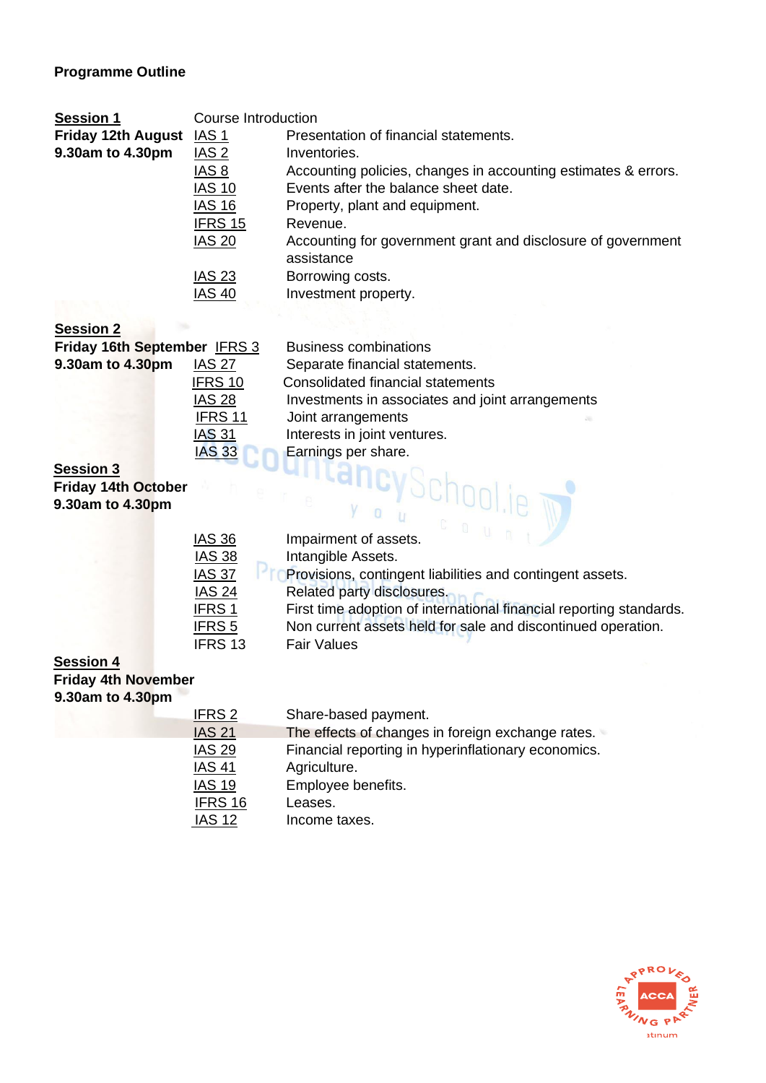# **Programme Outline**

| <b>Session 1</b>          | Course Introduction |                                                                            |  |
|---------------------------|---------------------|----------------------------------------------------------------------------|--|
| <b>Friday 12th August</b> | IAS <sub>1</sub>    | Presentation of financial statements.                                      |  |
| 9.30am to 4.30pm          | IAS <sub>2</sub>    | Inventories.                                                               |  |
|                           | IAS <sub>8</sub>    | Accounting policies, changes in accounting estimates & errors.             |  |
|                           | <b>IAS 10</b>       | Events after the balance sheet date.                                       |  |
|                           | <b>IAS 16</b>       | Property, plant and equipment.                                             |  |
|                           | IFRS 15<br>Revenue. |                                                                            |  |
|                           | <b>IAS 20</b>       | Accounting for government grant and disclosure of government<br>assistance |  |
|                           | <b>IAS 23</b>       | Borrowing costs.                                                           |  |
|                           | <b>IAS 40</b>       | Investment property.                                                       |  |

# **Session 2**

| Friday 16th September IFRS 3      |               | <b>Business combinations</b>                     |
|-----------------------------------|---------------|--------------------------------------------------|
| 9.30am to 4.30pm<br><b>IAS 27</b> |               | Separate financial statements.                   |
|                                   | IFRS 10       | Consolidated financial statements                |
|                                   | <b>IAS 28</b> | Investments in associates and joint arrangements |
|                                   | IFRS 11       | Joint arrangements                               |
|                                   | <b>IAS 31</b> | Interests in joint ventures.                     |
|                                   | <b>IAS 33</b> | Earnings per share.                              |
|                                   |               |                                                  |

#### **Session 3**

**Friday 14th October 9.30am to 4.30pm**

| <b>IAS 36</b>      | Impairment of assets.                                               |
|--------------------|---------------------------------------------------------------------|
| <b>IAS 38</b>      | Intangible Assets.                                                  |
| <b>IAS 37</b>      | Provisions, contingent liabilities and contingent assets.           |
| <b>IAS 24</b>      | Related party disclosures.                                          |
| <b>IFRS1</b>       | First time adoption of international financial reporting standards. |
| IFRS <sub>5</sub>  | Non current assets held for sale and discontinued operation.        |
| IFRS <sub>13</sub> | <b>Fair Values</b>                                                  |

# **Session 4**

**Friday 4th November** 

|  |  | 9.30am to 4.30pm |  |  |  |
|--|--|------------------|--|--|--|
|--|--|------------------|--|--|--|

| <u>IFRS 2</u> | Share-based payment.                                |
|---------------|-----------------------------------------------------|
| <b>IAS 21</b> | The effects of changes in foreign exchange rates.   |
| <b>IAS 29</b> | Financial reporting in hyperinflationary economics. |
| <b>IAS 41</b> | Agriculture.                                        |
| <b>IAS 19</b> | Employee benefits.                                  |
| IFRS 16       | Leases.                                             |
| <b>IAS 12</b> | Income taxes.                                       |

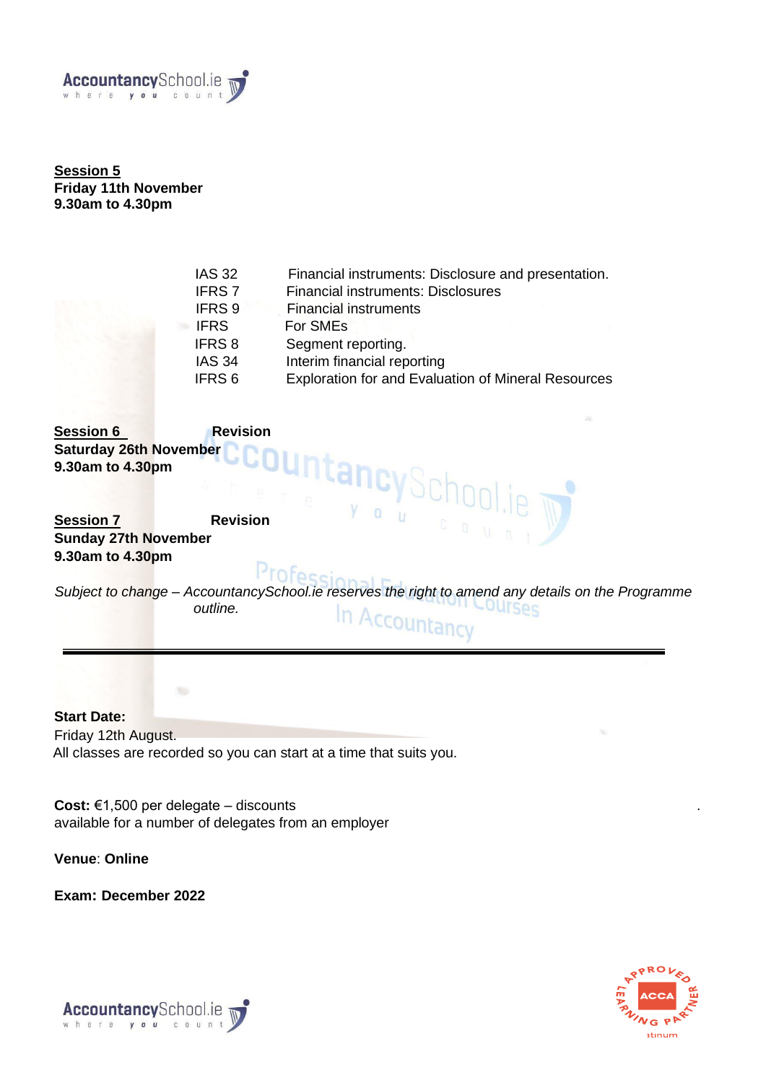

**Session 5 Friday 11th November 9.30am to 4.30pm** 

| <b>IAS 32</b> | Financial instruments: Disclosure and presentation.        |
|---------------|------------------------------------------------------------|
| <b>IFRS 7</b> | <b>Financial instruments: Disclosures</b>                  |
| IFRS 9        | <b>Financial instruments</b>                               |
| <b>IFRS</b>   | For SME <sub>s</sub>                                       |
| <b>IFRS 8</b> | Segment reporting.                                         |
| <b>IAS 34</b> | Interim financial reporting                                |
| IFRS 6        | <b>Exploration for and Evaluation of Mineral Resources</b> |
|               |                                                            |

**Session 6 Revision Saturday 26th November 9.30am to 4.30pm** 

**Session 7 Revision Sunday 27th November 9.30am to 4.30pm** 

Profes *Subject to change – AccountancySchool.ie reserves the right to amend any details on the Programme outline.* OUTSes In Accountancy

**Start Date:**  Friday 12th August. All classes are recorded so you can start at a time that suits you.

**Cost:** €1,500 per delegate – discounts . available for a number of delegates from an employer

**Venue**: **Online**

**Exam: December 2022** 



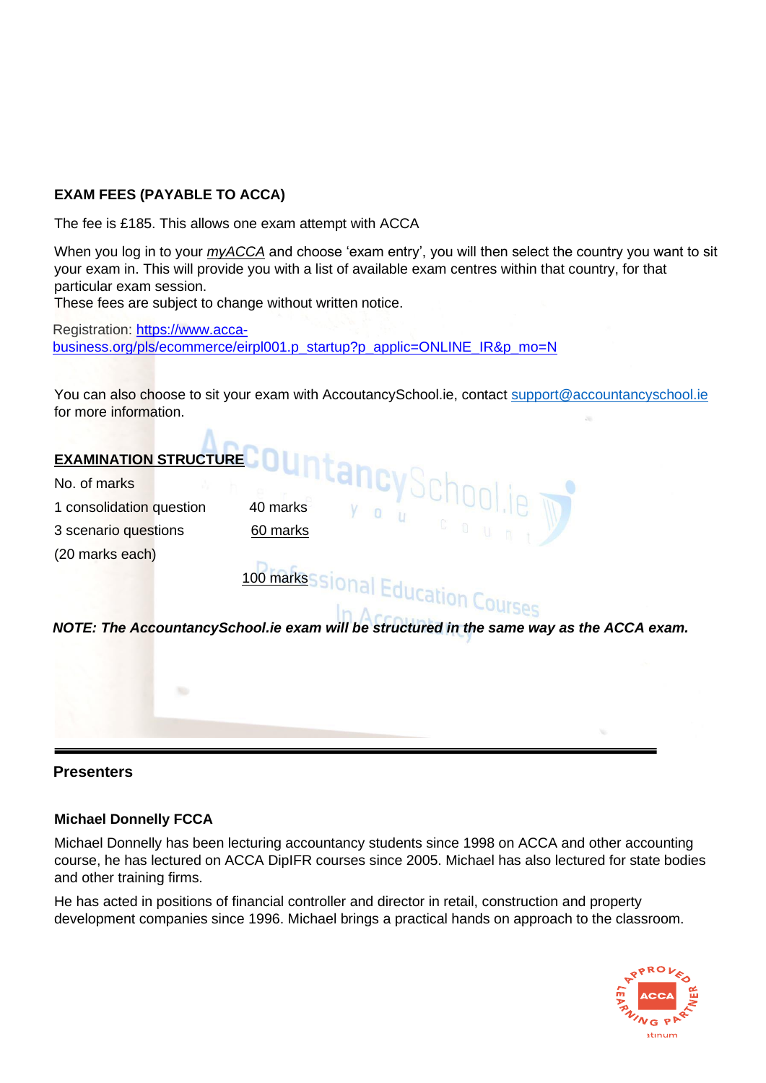# **EXAM FEES (PAYABLE TO ACCA)**

The fee is £185. This allows one exam attempt with ACCA

When you log in to your *[myACCA](https://sso.accaglobal.com/sso/jsp/myacca_login.jsp?site2pstoretoken=v1.2~A5220E8E~9D2F1DE7F6E898EECEA4A20A8CE54BA4C1A02C486D52922892BC5A42A9CEB7512890769CBB218F0CADCE043E3CCCBD10B3B475145EDBE0790B96EF049F095F99B75CA9035099E136EA3D7FCA14EE829E93FF619B6EBF91CDE549B6FCE5AC1A12F3B414701AA3EBBC41E23C8B659AEF5A022A67F9A2890E64FE23301194A518E4B49EAA739F5EB1A35C6C37C09F99020F18C426AB91FC1D3869F4C4FC69A876269EAA4AB57C4344220C6EEB46583E9D7149C1A7B0E9165D87&p_error_code=&p_submit_url=https%3A%2F%2Fsso.accaglobal.com%2Fsso%2Fauth&p_cancel_url=http%3A%2F%2Fwww.accaglobal.com&ssousername=)* [an](https://sso.accaglobal.com/sso/jsp/myacca_login.jsp?site2pstoretoken=v1.2~A5220E8E~9D2F1DE7F6E898EECEA4A20A8CE54BA4C1A02C486D52922892BC5A42A9CEB7512890769CBB218F0CADCE043E3CCCBD10B3B475145EDBE0790B96EF049F095F99B75CA9035099E136EA3D7FCA14EE829E93FF619B6EBF91CDE549B6FCE5AC1A12F3B414701AA3EBBC41E23C8B659AEF5A022A67F9A2890E64FE23301194A518E4B49EAA739F5EB1A35C6C37C09F99020F18C426AB91FC1D3869F4C4FC69A876269EAA4AB57C4344220C6EEB46583E9D7149C1A7B0E9165D87&p_error_code=&p_submit_url=https%3A%2F%2Fsso.accaglobal.com%2Fsso%2Fauth&p_cancel_url=http%3A%2F%2Fwww.accaglobal.com&ssousername=)d choose 'exam entry', you will then select the country you want to sit your exam in. This will provide you with a list of available exam centres within that country, for that particular exam session.

These fees are subject to change without written notice.

Registration: [https://www.acca](https://www.acca-business.org/pls/ecommerce/eirpl001.p_startup?p_applic=ONLINE_IR&p_mo=N)[business.org/pls/ecommerce/eirpl001.p\\_startup?p\\_applic=ONLINE\\_IR&p\\_mo=N](https://www.acca-business.org/pls/ecommerce/eirpl001.p_startup?p_applic=ONLINE_IR&p_mo=N)

You can also choose to sit your exam with AccoutancySchool.ie, contact support@accountancyschool.ie for more information.



# **Presenters**

# **Michael Donnelly FCCA**

Michael Donnelly has been lecturing accountancy students since 1998 on ACCA and other accounting course, he has lectured on ACCA DipIFR courses since 2005. Michael has also lectured for state bodies and other training firms.

He has acted in positions of financial controller and director in retail, construction and property development companies since 1996. Michael brings a practical hands on approach to the classroom.

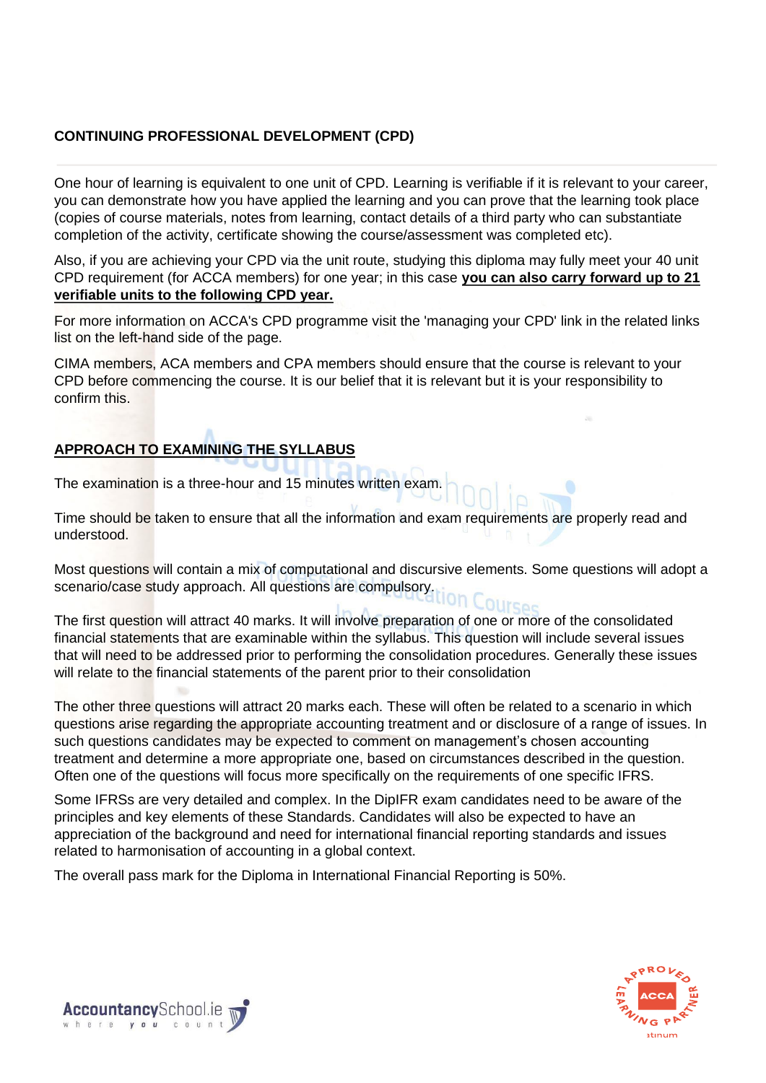# **CONTINUING PROFESSIONAL DEVELOPMENT (CPD)**

One hour of learning is equivalent to one unit of CPD. Learning is verifiable if it is relevant to your career, you can demonstrate how you have applied the learning and you can prove that the learning took place (copies of course materials, notes from learning, contact details of a third party who can substantiate completion of the activity, certificate showing the course/assessment was completed etc).

Also, if you are achieving your CPD via the unit route, studying this diploma may fully meet your 40 unit CPD requirement (for ACCA members) for one year; in this case **you can also carry forward up to 21 verifiable units to the following CPD year.**

For more information on ACCA's CPD programme visit the 'managing your CPD' link in the related links list on the left-hand side of the page.

CIMA members, ACA members and CPA members should ensure that the course is relevant to your CPD before commencing the course. It is our belief that it is relevant but it is your responsibility to confirm this.

# **APPROACH TO EXAMINING THE SYLLABUS**

The examination is a three-hour and 15 minutes written exam.

Time should be taken to ensure that all the information and exam requirements are properly read and understood.

Most questions will contain a mix of computational and discursive elements. Some questions will adopt a scenario/case study approach. All questions are compulsory.

The first question will attract 40 marks. It will involve preparation of one or more of the consolidated financial statements that are examinable within the syllabus. This question will include several issues that will need to be addressed prior to performing the consolidation procedures. Generally these issues will relate to the financial statements of the parent prior to their consolidation

The other three questions will attract 20 marks each. These will often be related to a scenario in which questions arise regarding the appropriate accounting treatment and or disclosure of a range of issues. In such questions candidates may be expected to comment on management's chosen accounting treatment and determine a more appropriate one, based on circumstances described in the question. Often one of the questions will focus more specifically on the requirements of one specific IFRS.

Some IFRSs are very detailed and complex. In the DipIFR exam candidates need to be aware of the principles and key elements of these Standards. Candidates will also be expected to have an appreciation of the background and need for international financial reporting standards and issues related to harmonisation of accounting in a global context.

The overall pass mark for the Diploma in International Financial Reporting is 50%.